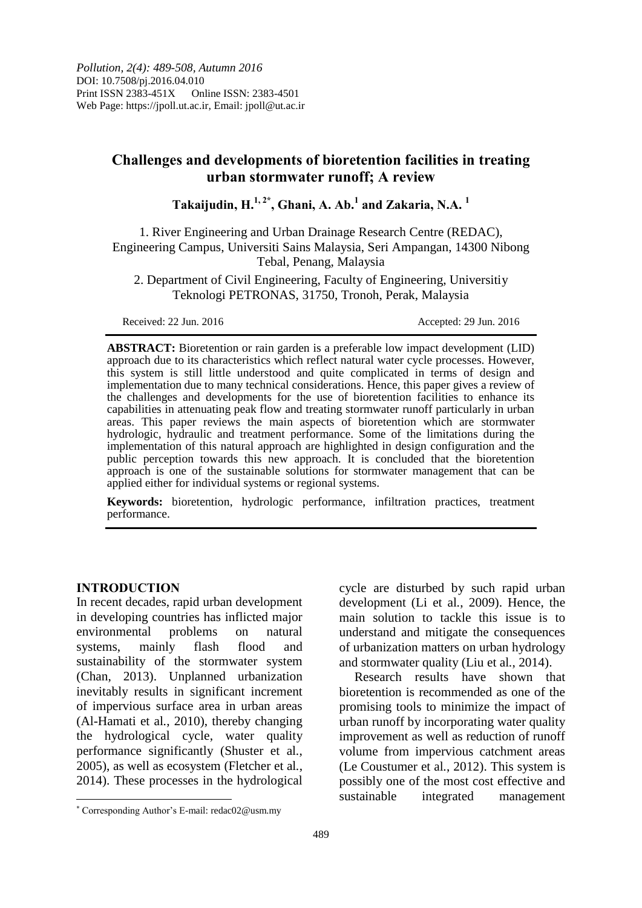# **Challenges and developments of bioretention facilities in treating urban stormwater runoff; A review**

**Takaijudin, H.1, 2\* , Ghani, A. Ab.<sup>1</sup> and Zakaria, N.A. <sup>1</sup>**

1. River Engineering and Urban Drainage Research Centre (REDAC), Engineering Campus, Universiti Sains Malaysia, Seri Ampangan, 14300 Nibong Tebal, Penang, Malaysia

2. Department of Civil Engineering, Faculty of Engineering, Universitiy Teknologi PETRONAS, 31750, Tronoh, Perak, Malaysia

Received: 22 Jun. 2016 **Accepted: 29 Jun. 2016** 

**ABSTRACT:** Bioretention or rain garden is a preferable low impact development (LID) approach due to its characteristics which reflect natural water cycle processes. However, this system is still little understood and quite complicated in terms of design and implementation due to many technical considerations. Hence, this paper gives a review of the challenges and developments for the use of bioretention facilities to enhance its capabilities in attenuating peak flow and treating stormwater runoff particularly in urban areas. This paper reviews the main aspects of bioretention which are stormwater hydrologic, hydraulic and treatment performance. Some of the limitations during the implementation of this natural approach are highlighted in design configuration and the public perception towards this new approach. It is concluded that the bioretention approach is one of the sustainable solutions for stormwater management that can be applied either for individual systems or regional systems.

**Keywords:** bioretention, hydrologic performance, infiltration practices, treatment performance.

### **INTRODUCTION**

 $\overline{\phantom{a}}$ 

In recent decades, rapid urban development in developing countries has inflicted major environmental problems on natural systems, mainly flash flood and sustainability of the stormwater system (Chan, 2013). Unplanned urbanization inevitably results in significant increment of impervious surface area in urban areas (Al-Hamati et al*.*, 2010), thereby changing the hydrological cycle, water quality performance significantly (Shuster et al*.*, 2005), as well as ecosystem (Fletcher et al*.*, 2014). These processes in the hydrological cycle are disturbed by such rapid urban development (Li et al*.*, 2009). Hence, the main solution to tackle this issue is to understand and mitigate the consequences of urbanization matters on urban hydrology and stormwater quality (Liu et al*.*, 2014).

Research results have shown that bioretention is recommended as one of the promising tools to minimize the impact of urban runoff by incorporating water quality improvement as well as reduction of runoff volume from impervious catchment areas (Le Coustumer et al*.*, 2012). This system is possibly one of the most cost effective and sustainable integrated management

Corresponding Author's E-mail: redac02@usm.my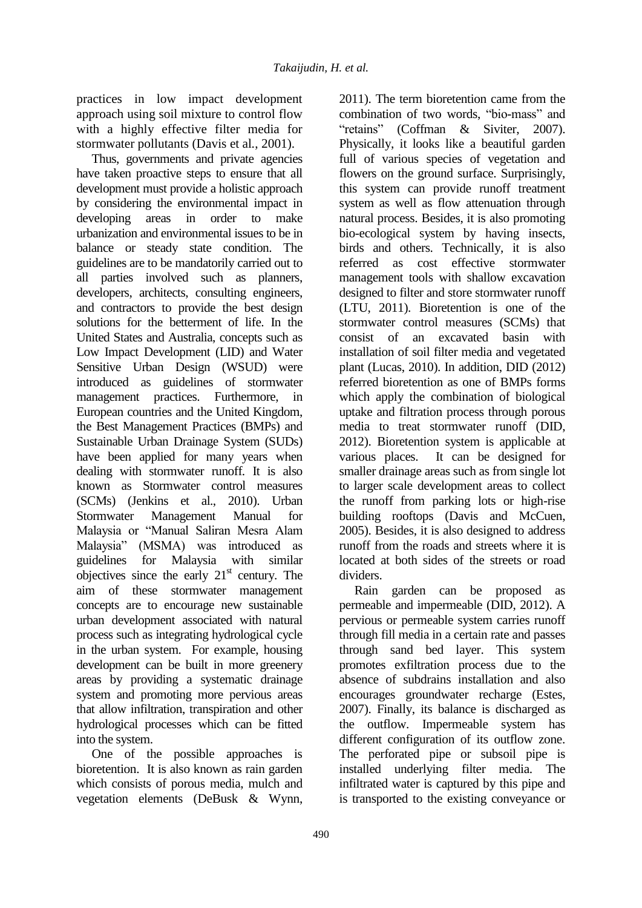practices in low impact development approach using soil mixture to control flow with a highly effective filter media for stormwater pollutants (Davis et al*.*, 2001).

Thus, governments and private agencies have taken proactive steps to ensure that all development must provide a holistic approach by considering the environmental impact in developing areas in order to make urbanization and environmental issues to be in balance or steady state condition. The guidelines are to be mandatorily carried out to all parties involved such as planners, developers, architects, consulting engineers, and contractors to provide the best design solutions for the betterment of life. In the United States and Australia, concepts such as Low Impact Development (LID) and Water Sensitive Urban Design (WSUD) were introduced as guidelines of stormwater management practices. Furthermore, in European countries and the United Kingdom, the Best Management Practices (BMPs) and Sustainable Urban Drainage System (SUDs) have been applied for many years when dealing with stormwater runoff. It is also known as Stormwater control measures (SCMs) (Jenkins et al., 2010). Urban Stormwater Management Manual for Malaysia or "Manual Saliran Mesra Alam Malaysia" (MSMA) was introduced as guidelines for Malaysia with similar objectives since the early  $21<sup>st</sup>$  century. The aim of these stormwater management concepts are to encourage new sustainable urban development associated with natural process such as integrating hydrological cycle in the urban system. For example, housing development can be built in more greenery areas by providing a systematic drainage system and promoting more pervious areas that allow infiltration, transpiration and other hydrological processes which can be fitted into the system.

One of the possible approaches is bioretention. It is also known as rain garden which consists of porous media, mulch and vegetation elements (DeBusk & Wynn, 2011). The term bioretention came from the combination of two words, "bio-mass" and "retains" (Coffman & Siviter, 2007). Physically, it looks like a beautiful garden full of various species of vegetation and flowers on the ground surface. Surprisingly, this system can provide runoff treatment system as well as flow attenuation through natural process. Besides, it is also promoting bio-ecological system by having insects, birds and others. Technically, it is also referred as cost effective stormwater management tools with shallow excavation designed to filter and store stormwater runoff (LTU, 2011). Bioretention is one of the stormwater control measures (SCMs) that consist of an excavated basin with installation of soil filter media and vegetated plant (Lucas, 2010). In addition, DID (2012) referred bioretention as one of BMPs forms which apply the combination of biological uptake and filtration process through porous media to treat stormwater runoff (DID, 2012). Bioretention system is applicable at various places. It can be designed for smaller drainage areas such as from single lot to larger scale development areas to collect the runoff from parking lots or high-rise building rooftops (Davis and McCuen, 2005). Besides, it is also designed to address runoff from the roads and streets where it is located at both sides of the streets or road dividers.

Rain garden can be proposed as permeable and impermeable (DID, 2012). A pervious or permeable system carries runoff through fill media in a certain rate and passes through sand bed layer. This system promotes exfiltration process due to the absence of subdrains installation and also encourages groundwater recharge (Estes, 2007). Finally, its balance is discharged as the outflow. Impermeable system has different configuration of its outflow zone. The perforated pipe or subsoil pipe is installed underlying filter media. The infiltrated water is captured by this pipe and is transported to the existing conveyance or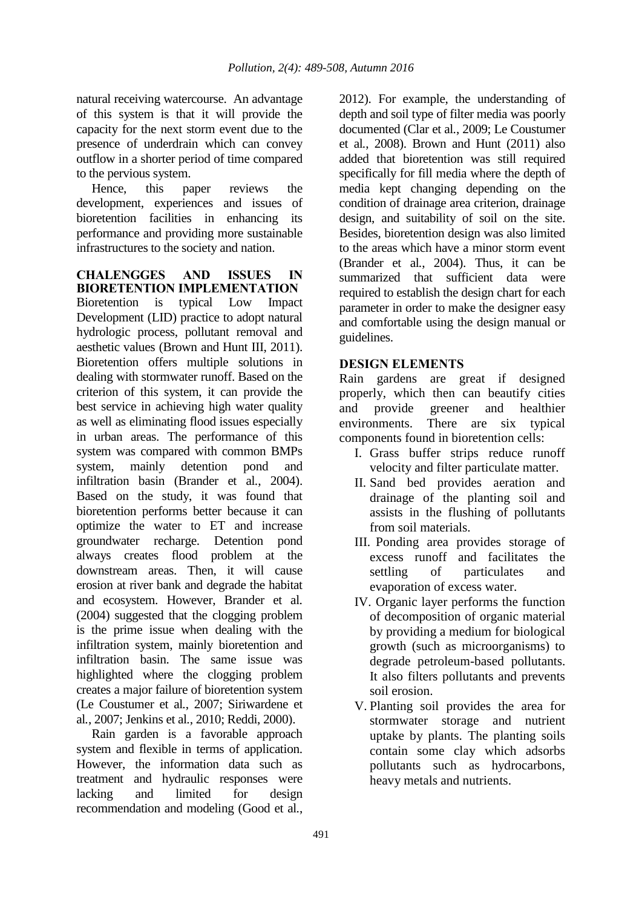natural receiving watercourse. An advantage of this system is that it will provide the capacity for the next storm event due to the presence of underdrain which can convey outflow in a shorter period of time compared to the pervious system.

Hence, this paper reviews the development, experiences and issues of bioretention facilities in enhancing its performance and providing more sustainable infrastructures to the society and nation.

**CHALENGGES AND ISSUES IN BIORETENTION IMPLEMENTATION** Bioretention is typical Low Impact Development (LID) practice to adopt natural hydrologic process, pollutant removal and aesthetic values (Brown and Hunt III, 2011). Bioretention offers multiple solutions in dealing with stormwater runoff. Based on the criterion of this system, it can provide the best service in achieving high water quality as well as eliminating flood issues especially in urban areas. The performance of this system was compared with common BMPs system, mainly detention pond and infiltration basin (Brander et al*.*, 2004). Based on the study, it was found that bioretention performs better because it can optimize the water to ET and increase groundwater recharge. Detention pond always creates flood problem at the downstream areas. Then, it will cause erosion at river bank and degrade the habitat and ecosystem. However, Brander et al*.* (2004) suggested that the clogging problem is the prime issue when dealing with the infiltration system, mainly bioretention and infiltration basin. The same issue was highlighted where the clogging problem creates a major failure of bioretention system (Le Coustumer et al*.*, 2007; Siriwardene et al*.*, 2007; Jenkins et al*.*, 2010; Reddi, 2000).

Rain garden is a favorable approach system and flexible in terms of application. However, the information data such as treatment and hydraulic responses were lacking and limited for design recommendation and modeling (Good et al*.*,

2012). For example, the understanding of depth and soil type of filter media was poorly documented (Clar et al*.*, 2009; Le Coustumer et al*.*, 2008). Brown and Hunt (2011) also added that bioretention was still required specifically for fill media where the depth of media kept changing depending on the condition of drainage area criterion, drainage design, and suitability of soil on the site. Besides, bioretention design was also limited to the areas which have a minor storm event (Brander et al*.*, 2004). Thus, it can be summarized that sufficient data were required to establish the design chart for each parameter in order to make the designer easy and comfortable using the design manual or guidelines.

## **DESIGN ELEMENTS**

Rain gardens are great if designed properly, which then can beautify cities and provide greener and healthier environments. There are six typical components found in bioretention cells:

- I. Grass buffer strips reduce runoff velocity and filter particulate matter.
- II. Sand bed provides aeration and drainage of the planting soil and assists in the flushing of pollutants from soil materials.
- III. Ponding area provides storage of excess runoff and facilitates the settling of particulates and evaporation of excess water.
- IV. Organic layer performs the function of decomposition of organic material by providing a medium for biological growth (such as microorganisms) to degrade petroleum-based pollutants. It also filters pollutants and prevents soil erosion.
- V. Planting soil provides the area for stormwater storage and nutrient uptake by plants. The planting soils contain some clay which adsorbs pollutants such as hydrocarbons, heavy metals and nutrients.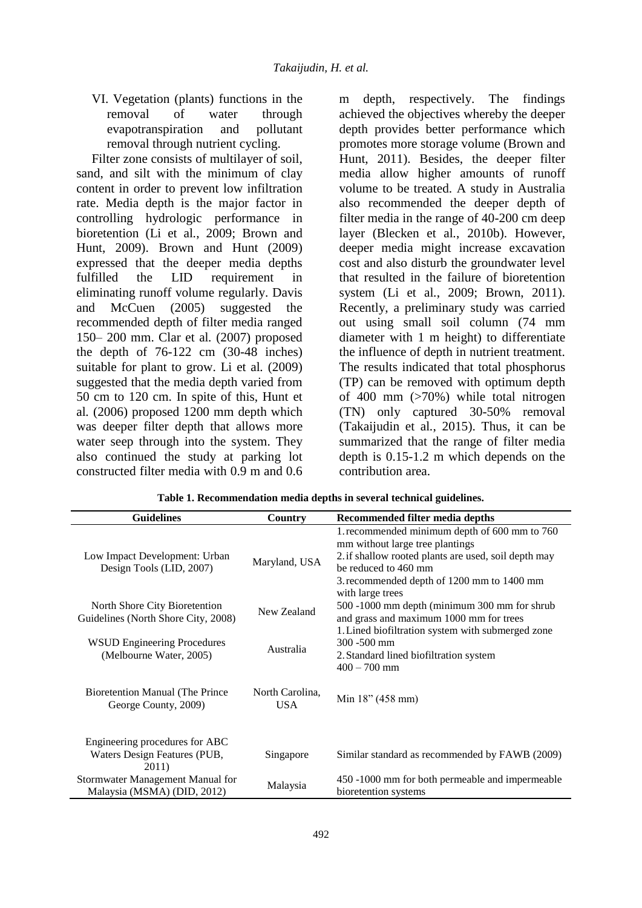VI. Vegetation (plants) functions in the removal of water through evapotranspiration and pollutant removal through nutrient cycling.

Filter zone consists of multilayer of soil, sand, and silt with the minimum of clay content in order to prevent low infiltration rate. Media depth is the major factor in controlling hydrologic performance in bioretention (Li et al*.*, 2009; Brown and Hunt, 2009). Brown and Hunt (2009) expressed that the deeper media depths fulfilled the LID requirement in eliminating runoff volume regularly. Davis and McCuen (2005) suggested the recommended depth of filter media ranged 150– 200 mm. Clar et al*.* (2007) proposed the depth of 76-122 cm (30-48 inches) suitable for plant to grow. Li et al*.* (2009) suggested that the media depth varied from 50 cm to 120 cm. In spite of this, Hunt et al*.* (2006) proposed 1200 mm depth which was deeper filter depth that allows more water seep through into the system. They also continued the study at parking lot constructed filter media with 0.9 m and 0.6

m depth, respectively. The findings achieved the objectives whereby the deeper depth provides better performance which promotes more storage volume (Brown and Hunt, 2011). Besides, the deeper filter media allow higher amounts of runoff volume to be treated. A study in Australia also recommended the deeper depth of filter media in the range of 40-200 cm deep layer (Blecken et al*.*, 2010b). However, deeper media might increase excavation cost and also disturb the groundwater level that resulted in the failure of bioretention system (Li et al*.*, 2009; Brown, 2011). Recently, a preliminary study was carried out using small soil column (74 mm diameter with 1 m height) to differentiate the influence of depth in nutrient treatment. The results indicated that total phosphorus (TP) can be removed with optimum depth of 400 mm (>70%) while total nitrogen (TN) only captured 30-50% removal (Takaijudin et al*.*, 2015). Thus, it can be summarized that the range of filter media depth is 0.15-1.2 m which depends on the contribution area.

| <b>Guidelines</b>                                                       | <b>Country</b>          | Recommended filter media depths                                                                                                                                                                                |  |  |
|-------------------------------------------------------------------------|-------------------------|----------------------------------------------------------------------------------------------------------------------------------------------------------------------------------------------------------------|--|--|
| Low Impact Development: Urban<br>Design Tools (LID, 2007)               | Maryland, USA           | 1. recommended minimum depth of 600 mm to 760<br>mm without large tree plantings<br>2. if shallow rooted plants are used, soil depth may<br>be reduced to 460 mm<br>3. recommended depth of 1200 mm to 1400 mm |  |  |
| North Shore City Bioretention<br>Guidelines (North Shore City, 2008)    | New Zealand             | with large trees<br>500 -1000 mm depth (minimum 300 mm for shrub<br>and grass and maximum 1000 mm for trees<br>1. Lined biofiltration system with submerged zone                                               |  |  |
| <b>WSUD Engineering Procedures</b><br>(Melbourne Water, 2005)           | Australia               | 300 -500 mm<br>2. Standard lined biofiltration system<br>$400 - 700$ mm                                                                                                                                        |  |  |
| <b>Bioretention Manual (The Prince</b><br>George County, 2009)          | North Carolina,<br>USA. | Min 18" (458 mm)                                                                                                                                                                                               |  |  |
| Engineering procedures for ABC<br>Waters Design Features (PUB,<br>2011) | Singapore               | Similar standard as recommended by FAWB (2009)                                                                                                                                                                 |  |  |
| Stormwater Management Manual for<br>Malaysia (MSMA) (DID, 2012)         | Malaysia                | 450 -1000 mm for both permeable and impermeable<br>bioretention systems                                                                                                                                        |  |  |

**Table 1. Recommendation media depths in several technical guidelines.**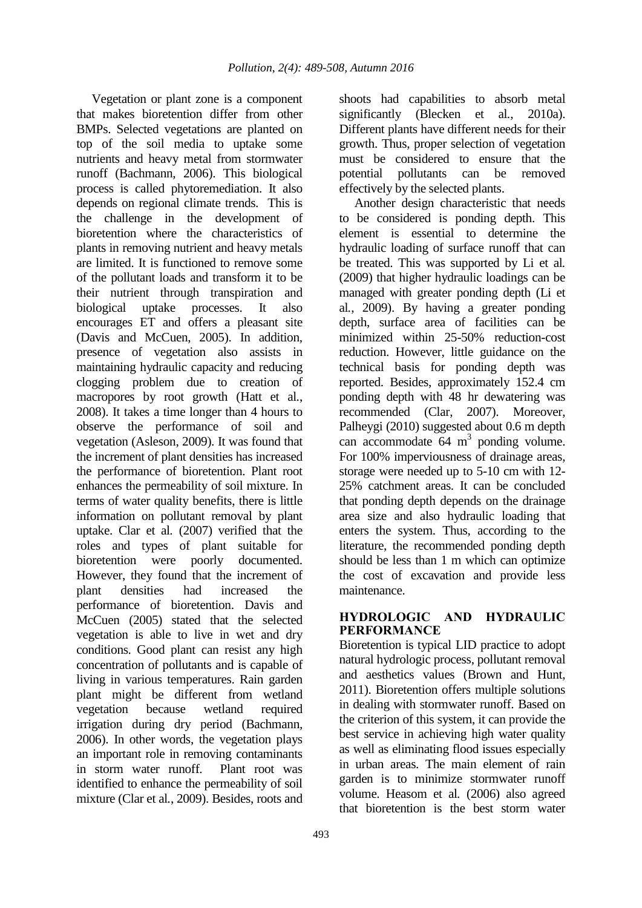Vegetation or plant zone is a component that makes bioretention differ from other BMPs. Selected vegetations are planted on top of the soil media to uptake some nutrients and heavy metal from stormwater runoff (Bachmann, 2006). This biological process is called phytoremediation. It also depends on regional climate trends. This is the challenge in the development of bioretention where the characteristics of plants in removing nutrient and heavy metals are limited. It is functioned to remove some of the pollutant loads and transform it to be their nutrient through transpiration and biological uptake processes. It also encourages ET and offers a pleasant site (Davis and McCuen, 2005). In addition, presence of vegetation also assists in maintaining hydraulic capacity and reducing clogging problem due to creation of macropores by root growth (Hatt et al*.*, 2008). It takes a time longer than 4 hours to observe the performance of soil and vegetation (Asleson, 2009). It was found that the increment of plant densities has increased the performance of bioretention. Plant root enhances the permeability of soil mixture. In terms of water quality benefits, there is little information on pollutant removal by plant uptake. Clar et al*.* (2007) verified that the roles and types of plant suitable for bioretention were poorly documented. However, they found that the increment of plant densities had increased the performance of bioretention. Davis and McCuen (2005) stated that the selected vegetation is able to live in wet and dry conditions. Good plant can resist any high concentration of pollutants and is capable of living in various temperatures. Rain garden plant might be different from wetland vegetation because wetland required irrigation during dry period (Bachmann, 2006). In other words, the vegetation plays an important role in removing contaminants in storm water runoff. Plant root was identified to enhance the permeability of soil mixture (Clar et al*.*, 2009). Besides, roots and

shoots had capabilities to absorb metal significantly (Blecken et al*.*, 2010a). Different plants have different needs for their growth. Thus, proper selection of vegetation must be considered to ensure that the potential pollutants can be removed effectively by the selected plants.

Another design characteristic that needs to be considered is ponding depth. This element is essential to determine the hydraulic loading of surface runoff that can be treated. This was supported by Li et al*.* (2009) that higher hydraulic loadings can be managed with greater ponding depth (Li et al*.*, 2009). By having a greater ponding depth, surface area of facilities can be minimized within 25-50% reduction-cost reduction. However, little guidance on the technical basis for ponding depth was reported. Besides, approximately 152.4 cm ponding depth with 48 hr dewatering was recommended (Clar, 2007). Moreover, Palheygi (2010) suggested about 0.6 m depth can accommodate 64 m 3 ponding volume. For 100% imperviousness of drainage areas, storage were needed up to 5-10 cm with 12- 25% catchment areas. It can be concluded that ponding depth depends on the drainage area size and also hydraulic loading that enters the system. Thus, according to the literature, the recommended ponding depth should be less than 1 m which can optimize the cost of excavation and provide less maintenance.

### **HYDROLOGIC AND HYDRAULIC PERFORMANCE**

Bioretention is typical LID practice to adopt natural hydrologic process, pollutant removal and aesthetics values (Brown and Hunt, 2011). Bioretention offers multiple solutions in dealing with stormwater runoff. Based on the criterion of this system, it can provide the best service in achieving high water quality as well as eliminating flood issues especially in urban areas. The main element of rain garden is to minimize stormwater runoff volume. Heasom et al*.* (2006) also agreed that bioretention is the best storm water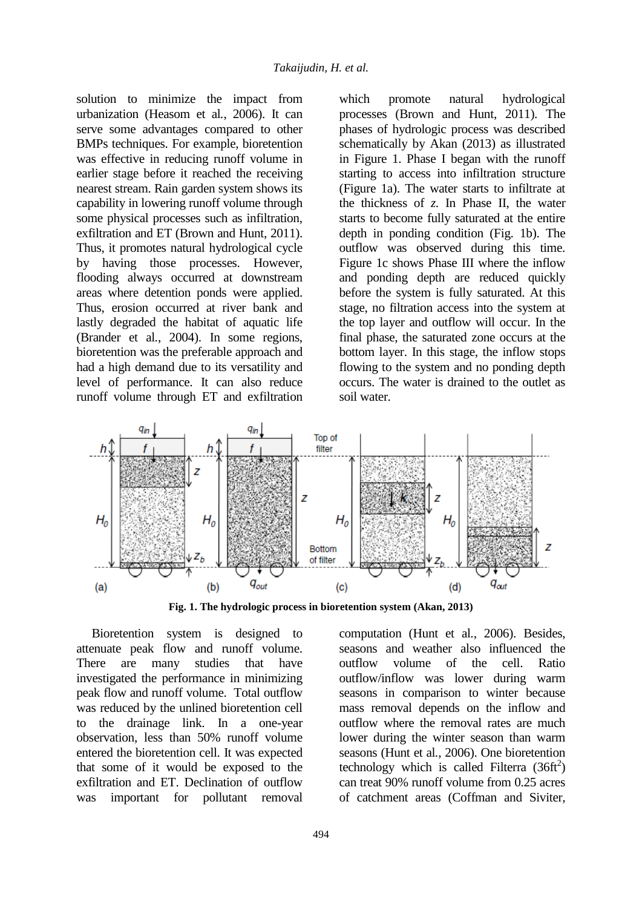solution to minimize the impact from urbanization (Heasom et al*.*, 2006). It can serve some advantages compared to other BMPs techniques. For example, bioretention was effective in reducing runoff volume in earlier stage before it reached the receiving nearest stream. Rain garden system shows its capability in lowering runoff volume through some physical processes such as infiltration, exfiltration and ET (Brown and Hunt, 2011). Thus, it promotes natural hydrological cycle by having those processes. However, flooding always occurred at downstream areas where detention ponds were applied. Thus, erosion occurred at river bank and lastly degraded the habitat of aquatic life (Brander et al*.*, 2004). In some regions, bioretention was the preferable approach and had a high demand due to its versatility and level of performance. It can also reduce runoff volume through ET and exfiltration which promote natural hydrological processes (Brown and Hunt, 2011). The phases of hydrologic process was described schematically by Akan (2013) as illustrated in Figure 1. Phase I began with the runoff starting to access into infiltration structure (Figure 1a). The water starts to infiltrate at the thickness of *z*. In Phase II, the water starts to become fully saturated at the entire depth in ponding condition (Fig. 1b). The outflow was observed during this time. Figure 1c shows Phase III where the inflow and ponding depth are reduced quickly before the system is fully saturated. At this stage, no filtration access into the system at the top layer and outflow will occur. In the final phase, the saturated zone occurs at the bottom layer. In this stage, the inflow stops flowing to the system and no ponding depth occurs. The water is drained to the outlet as soil water.



**Fig. 1. The hydrologic process in bioretention system (Akan, 2013)**

Bioretention system is designed to attenuate peak flow and runoff volume. There are many studies that have investigated the performance in minimizing peak flow and runoff volume. Total outflow was reduced by the unlined bioretention cell to the drainage link. In a one-year observation, less than 50% runoff volume entered the bioretention cell. It was expected that some of it would be exposed to the exfiltration and ET. Declination of outflow was important for pollutant removal

computation (Hunt et al*.*, 2006). Besides, seasons and weather also influenced the outflow volume of the cell. Ratio outflow/inflow was lower during warm seasons in comparison to winter because mass removal depends on the inflow and outflow where the removal rates are much lower during the winter season than warm seasons (Hunt et al*.*, 2006). One bioretention technology which is called Filterra  $(36ft<sup>2</sup>)$ can treat 90% runoff volume from 0.25 acres of catchment areas (Coffman and Siviter,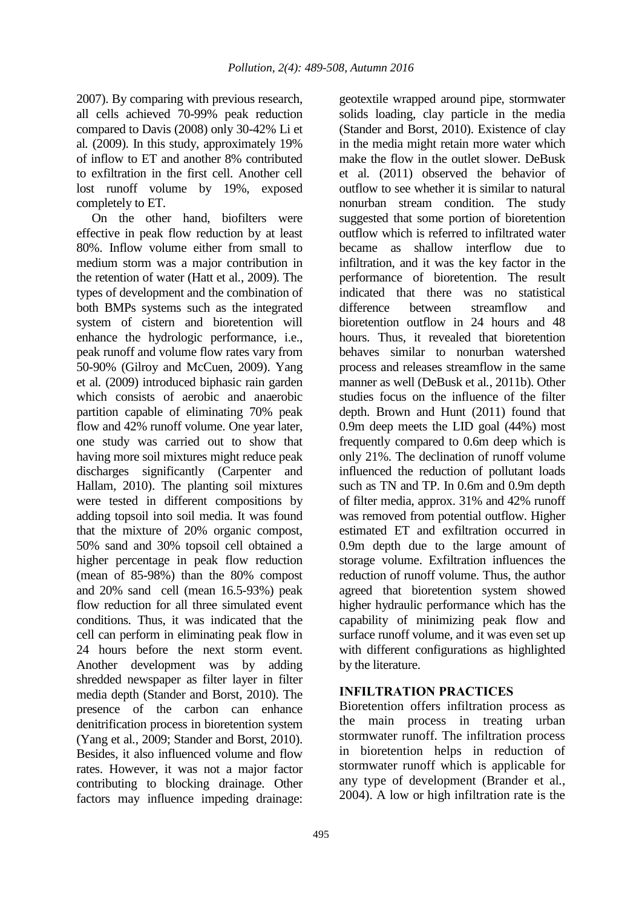2007). By comparing with previous research, all cells achieved 70-99% peak reduction compared to Davis (2008) only 30-42% Li et al*.* (2009). In this study, approximately 19% of inflow to ET and another 8% contributed to exfiltration in the first cell. Another cell lost runoff volume by 19%, exposed completely to ET.

On the other hand, biofilters were effective in peak flow reduction by at least 80%. Inflow volume either from small to medium storm was a major contribution in the retention of water (Hatt et al*.*, 2009). The types of development and the combination of both BMPs systems such as the integrated system of cistern and bioretention will enhance the hydrologic performance, i.e., peak runoff and volume flow rates vary from 50-90% (Gilroy and McCuen, 2009). Yang et al*.* (2009) introduced biphasic rain garden which consists of aerobic and anaerobic partition capable of eliminating 70% peak flow and 42% runoff volume. One year later, one study was carried out to show that having more soil mixtures might reduce peak discharges significantly (Carpenter and Hallam, 2010). The planting soil mixtures were tested in different compositions by adding topsoil into soil media. It was found that the mixture of 20% organic compost, 50% sand and 30% topsoil cell obtained a higher percentage in peak flow reduction (mean of 85-98%) than the 80% compost and 20% sand cell (mean 16.5-93%) peak flow reduction for all three simulated event conditions. Thus, it was indicated that the cell can perform in eliminating peak flow in 24 hours before the next storm event. Another development was by adding shredded newspaper as filter layer in filter media depth (Stander and Borst, 2010). The presence of the carbon can enhance denitrification process in bioretention system (Yang et al*.*, 2009; Stander and Borst, 2010). Besides, it also influenced volume and flow rates. However, it was not a major factor contributing to blocking drainage. Other factors may influence impeding drainage:

geotextile wrapped around pipe, stormwater solids loading, clay particle in the media (Stander and Borst, 2010). Existence of clay in the media might retain more water which make the flow in the outlet slower. DeBusk et al*.* (2011) observed the behavior of outflow to see whether it is similar to natural nonurban stream condition. The study suggested that some portion of bioretention outflow which is referred to infiltrated water became as shallow interflow due to infiltration, and it was the key factor in the performance of bioretention. The result indicated that there was no statistical difference between streamflow and bioretention outflow in 24 hours and 48 hours. Thus, it revealed that bioretention behaves similar to nonurban watershed process and releases streamflow in the same manner as well (DeBusk et al*.*, 2011b). Other studies focus on the influence of the filter depth. Brown and Hunt (2011) found that 0.9m deep meets the LID goal (44%) most frequently compared to 0.6m deep which is only 21%. The declination of runoff volume influenced the reduction of pollutant loads such as TN and TP. In 0.6m and 0.9m depth of filter media, approx. 31% and 42% runoff was removed from potential outflow. Higher estimated ET and exfiltration occurred in 0.9m depth due to the large amount of storage volume. Exfiltration influences the reduction of runoff volume. Thus, the author agreed that bioretention system showed higher hydraulic performance which has the capability of minimizing peak flow and surface runoff volume, and it was even set up with different configurations as highlighted by the literature.

### **INFILTRATION PRACTICES**

Bioretention offers infiltration process as the main process in treating urban stormwater runoff. The infiltration process in bioretention helps in reduction of stormwater runoff which is applicable for any type of development (Brander et al*.*, 2004). A low or high infiltration rate is the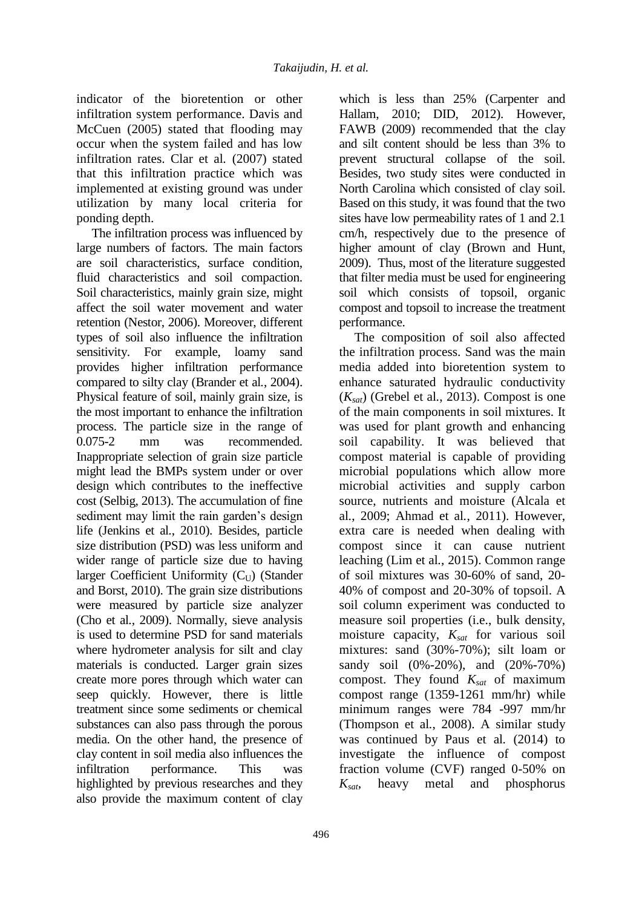indicator of the bioretention or other infiltration system performance. Davis and McCuen (2005) stated that flooding may occur when the system failed and has low infiltration rates. Clar et al*.* (2007) stated that this infiltration practice which was implemented at existing ground was under utilization by many local criteria for ponding depth.

The infiltration process was influenced by large numbers of factors. The main factors are soil characteristics, surface condition, fluid characteristics and soil compaction. Soil characteristics, mainly grain size, might affect the soil water movement and water retention (Nestor, 2006). Moreover, different types of soil also influence the infiltration sensitivity. For example, loamy sand provides higher infiltration performance compared to silty clay (Brander et al*.*, 2004). Physical feature of soil, mainly grain size, is the most important to enhance the infiltration process. The particle size in the range of 0.075-2 mm was recommended. Inappropriate selection of grain size particle might lead the BMPs system under or over design which contributes to the ineffective cost (Selbig, 2013). The accumulation of fine sediment may limit the rain garden's design life (Jenkins et al*.*, 2010). Besides, particle size distribution (PSD) was less uniform and wider range of particle size due to having larger Coefficient Uniformity  $(C_{U})$  (Stander and Borst, 2010). The grain size distributions were measured by particle size analyzer (Cho et al*.*, 2009). Normally, sieve analysis is used to determine PSD for sand materials where hydrometer analysis for silt and clay materials is conducted. Larger grain sizes create more pores through which water can seep quickly. However, there is little treatment since some sediments or chemical substances can also pass through the porous media. On the other hand, the presence of clay content in soil media also influences the infiltration performance. This was highlighted by previous researches and they also provide the maximum content of clay

which is less than 25% (Carpenter and Hallam, 2010; DID, 2012). However, FAWB (2009) recommended that the clay and silt content should be less than 3% to prevent structural collapse of the soil. Besides, two study sites were conducted in North Carolina which consisted of clay soil. Based on this study, it was found that the two sites have low permeability rates of 1 and 2.1 cm/h, respectively due to the presence of higher amount of clay (Brown and Hunt, 2009). Thus, most of the literature suggested that filter media must be used for engineering soil which consists of topsoil, organic compost and topsoil to increase the treatment performance.

The composition of soil also affected the infiltration process. Sand was the main media added into bioretention system to enhance saturated hydraulic conductivity (*Ksat*) (Grebel et al*.*, 2013). Compost is one of the main components in soil mixtures. It was used for plant growth and enhancing soil capability. It was believed that compost material is capable of providing microbial populations which allow more microbial activities and supply carbon source, nutrients and moisture (Alcala et al*.*, 2009; Ahmad et al*.*, 2011). However, extra care is needed when dealing with compost since it can cause nutrient leaching (Lim et al*.*, 2015). Common range of soil mixtures was 30-60% of sand, 20- 40% of compost and 20-30% of topsoil. A soil column experiment was conducted to measure soil properties (i.e., bulk density, moisture capacity, *Ksat* for various soil mixtures: sand (30%-70%); silt loam or sandy soil (0%-20%), and (20%-70%) compost. They found *Ksat* of maximum compost range (1359-1261 mm/hr) while minimum ranges were 784 -997 mm/hr (Thompson et al*.*, 2008). A similar study was continued by Paus et al*.* (2014) to investigate the influence of compost fraction volume (CVF) ranged 0-50% on *Ksat*, heavy metal and phosphorus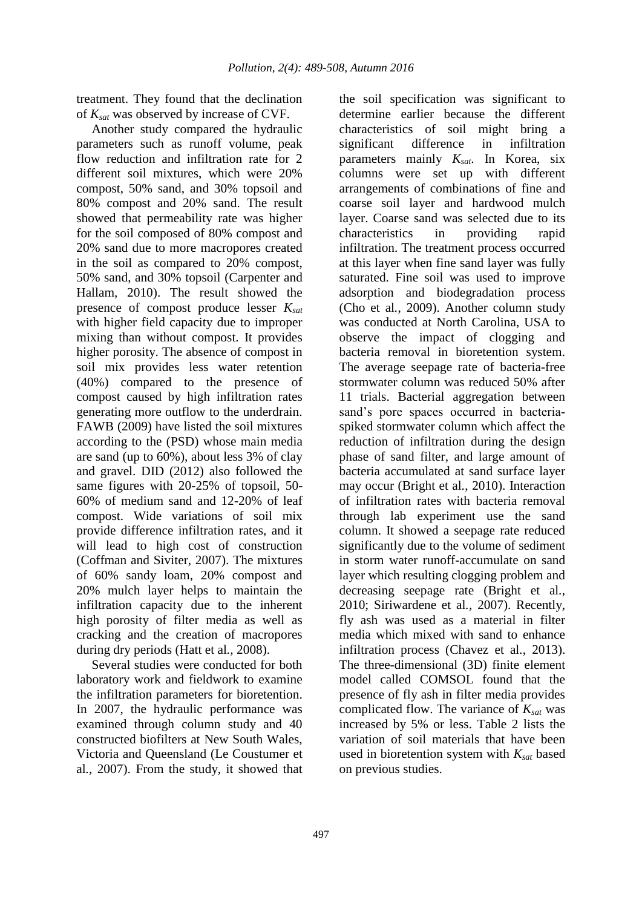treatment. They found that the declination of *Ksat* was observed by increase of CVF.

Another study compared the hydraulic parameters such as runoff volume, peak flow reduction and infiltration rate for 2 different soil mixtures, which were 20% compost, 50% sand, and 30% topsoil and 80% compost and 20% sand. The result showed that permeability rate was higher for the soil composed of 80% compost and 20% sand due to more macropores created in the soil as compared to 20% compost, 50% sand, and 30% topsoil (Carpenter and Hallam, 2010). The result showed the presence of compost produce lesser *Ksat* with higher field capacity due to improper mixing than without compost. It provides higher porosity. The absence of compost in soil mix provides less water retention (40%) compared to the presence of compost caused by high infiltration rates generating more outflow to the underdrain. FAWB (2009) have listed the soil mixtures according to the (PSD) whose main media are sand (up to 60%), about less 3% of clay and gravel. DID (2012) also followed the same figures with 20-25% of topsoil, 50- 60% of medium sand and 12-20% of leaf compost. Wide variations of soil mix provide difference infiltration rates, and it will lead to high cost of construction (Coffman and Siviter, 2007). The mixtures of 60% sandy loam, 20% compost and 20% mulch layer helps to maintain the infiltration capacity due to the inherent high porosity of filter media as well as cracking and the creation of macropores during dry periods (Hatt et al*.*, 2008).

Several studies were conducted for both laboratory work and fieldwork to examine the infiltration parameters for bioretention. In 2007, the hydraulic performance was examined through column study and 40 constructed biofilters at New South Wales, Victoria and Queensland (Le Coustumer et al*.*, 2007). From the study, it showed that the soil specification was significant to determine earlier because the different characteristics of soil might bring a significant difference in infiltration parameters mainly *Ksat*. In Korea, six columns were set up with different arrangements of combinations of fine and coarse soil layer and hardwood mulch layer. Coarse sand was selected due to its characteristics in providing rapid infiltration. The treatment process occurred at this layer when fine sand layer was fully saturated. Fine soil was used to improve adsorption and biodegradation process (Cho et al*.*, 2009). Another column study was conducted at North Carolina, USA to observe the impact of clogging and bacteria removal in bioretention system. The average seepage rate of bacteria-free stormwater column was reduced 50% after 11 trials. Bacterial aggregation between sand's pore spaces occurred in bacteriaspiked stormwater column which affect the reduction of infiltration during the design phase of sand filter, and large amount of bacteria accumulated at sand surface layer may occur (Bright et al*.*, 2010). Interaction of infiltration rates with bacteria removal through lab experiment use the sand column. It showed a seepage rate reduced significantly due to the volume of sediment in storm water runoff-accumulate on sand layer which resulting clogging problem and decreasing seepage rate (Bright et al*.*, 2010; Siriwardene et al*.*, 2007). Recently, fly ash was used as a material in filter media which mixed with sand to enhance infiltration process (Chavez et al*.*, 2013). The three-dimensional (3D) finite element model called COMSOL found that the presence of fly ash in filter media provides complicated flow. The variance of *Ksat* was increased by 5% or less. Table 2 lists the variation of soil materials that have been used in bioretention system with *Ksat* based on previous studies.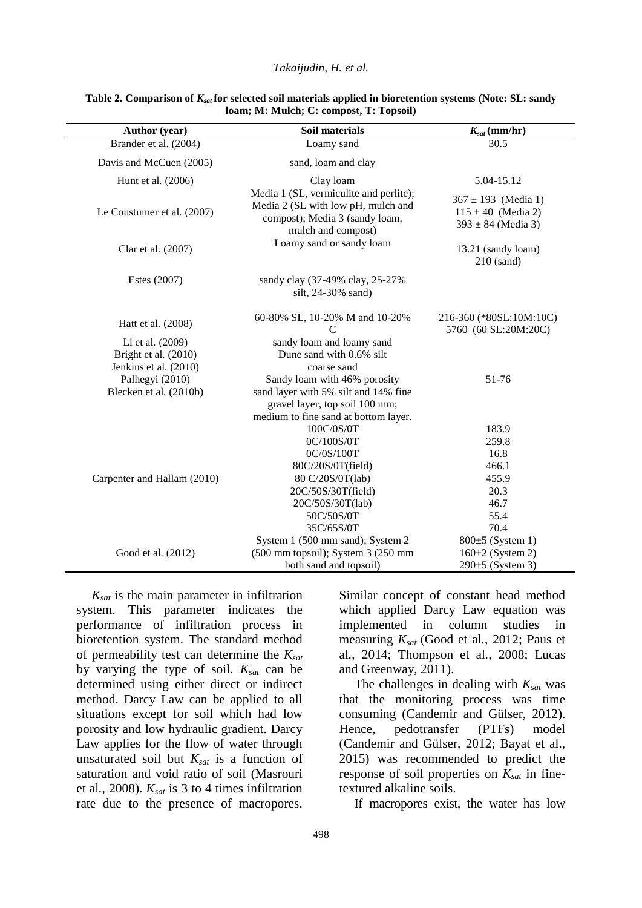#### *Takaijudin, H. et al.*

| <b>Author</b> (year)                                              | Soil materials                                                                                                                                 | $K_{sat}$ (mm/hr)                                                           |  |
|-------------------------------------------------------------------|------------------------------------------------------------------------------------------------------------------------------------------------|-----------------------------------------------------------------------------|--|
| Brander et al. (2004)                                             | Loamy sand                                                                                                                                     | 30.5                                                                        |  |
| Davis and McCuen (2005)                                           | sand, loam and clay                                                                                                                            |                                                                             |  |
| Hunt et al. (2006)                                                | Clay loam                                                                                                                                      | 5.04-15.12                                                                  |  |
| Le Coustumer et al. (2007)                                        | Media 1 (SL, vermiculite and perlite);<br>Media 2 (SL with low pH, mulch and<br>compost); Media 3 (sandy loam,<br>mulch and compost)           | $367 \pm 193$ (Media 1)<br>$115 \pm 40$ (Media 2)<br>$393 \pm 84$ (Media 3) |  |
| Clar et al. (2007)                                                | Loamy sand or sandy loam                                                                                                                       | 13.21 (sandy loam)<br>$210$ (sand)                                          |  |
| Estes (2007)                                                      | sandy clay (37-49% clay, 25-27%<br>silt, 24-30% sand)                                                                                          |                                                                             |  |
| Hatt et al. (2008)                                                | 60-80% SL, 10-20% M and 10-20%<br>$\mathcal{C}$                                                                                                | 216-360 (*80SL:10M:10C)<br>5760 (60 SL:20M:20C)                             |  |
| Li et al. (2009)<br>Bright et al. (2010)<br>Jenkins et al. (2010) | sandy loam and loamy sand<br>Dune sand with 0.6% silt<br>coarse sand                                                                           |                                                                             |  |
| Palhegyi (2010)<br>Blecken et al. (2010b)                         | Sandy loam with 46% porosity<br>sand layer with 5% silt and 14% fine<br>gravel layer, top soil 100 mm;<br>medium to fine sand at bottom layer. | 51-76                                                                       |  |
| Carpenter and Hallam (2010)                                       | 100C/0S/0T                                                                                                                                     | 183.9                                                                       |  |
|                                                                   | 0C/100S/0T                                                                                                                                     | 259.8<br>16.8                                                               |  |
|                                                                   | 0C/0S/100T<br>80C/20S/0T(field)                                                                                                                | 466.1                                                                       |  |
|                                                                   | 80 C/20S/0T(lab)                                                                                                                               | 455.9                                                                       |  |
|                                                                   | 20C/50S/30T(field)                                                                                                                             | 20.3                                                                        |  |
|                                                                   | 20C/50S/30T(lab)                                                                                                                               | 46.7                                                                        |  |
|                                                                   | 50C/50S/0T                                                                                                                                     | 55.4                                                                        |  |
|                                                                   | 35C/65S/0T                                                                                                                                     | 70.4                                                                        |  |
|                                                                   | System 1 (500 mm sand); System 2                                                                                                               | $800\pm5$ (System 1)                                                        |  |
| Good et al. (2012)                                                | (500 mm topsoil); System 3 (250 mm                                                                                                             | $160\pm2$ (System 2)                                                        |  |
|                                                                   | both sand and topsoil)                                                                                                                         | $290±5$ (System 3)                                                          |  |

#### **Table 2. Comparison of** *Ksat* **for selected soil materials applied in bioretention systems (Note: SL: sandy loam; M: Mulch; C: compost, T: Topsoil)**

*Ksat* is the main parameter in infiltration system. This parameter indicates the performance of infiltration process in bioretention system. The standard method of permeability test can determine the *Ksat* by varying the type of soil. *Ksat* can be determined using either direct or indirect method. Darcy Law can be applied to all situations except for soil which had low porosity and low hydraulic gradient. Darcy Law applies for the flow of water through unsaturated soil but  $K_{sat}$  is a function of saturation and void ratio of soil (Masrouri et al*.*, 2008). *Ksat* is 3 to 4 times infiltration rate due to the presence of macropores.

Similar concept of constant head method which applied Darcy Law equation was implemented in column studies in measuring *Ksat* (Good et al*.*, 2012; Paus et al*.*, 2014; Thompson et al*.*, 2008; Lucas and Greenway, 2011).

The challenges in dealing with *Ksat* was that the monitoring process was time consuming (Candemir and Gülser, 2012). Hence, pedotransfer (PTFs) model (Candemir and Gülser, 2012; Bayat et al., 2015) was recommended to predict the response of soil properties on *Ksat* in finetextured alkaline soils.

If macropores exist, the water has low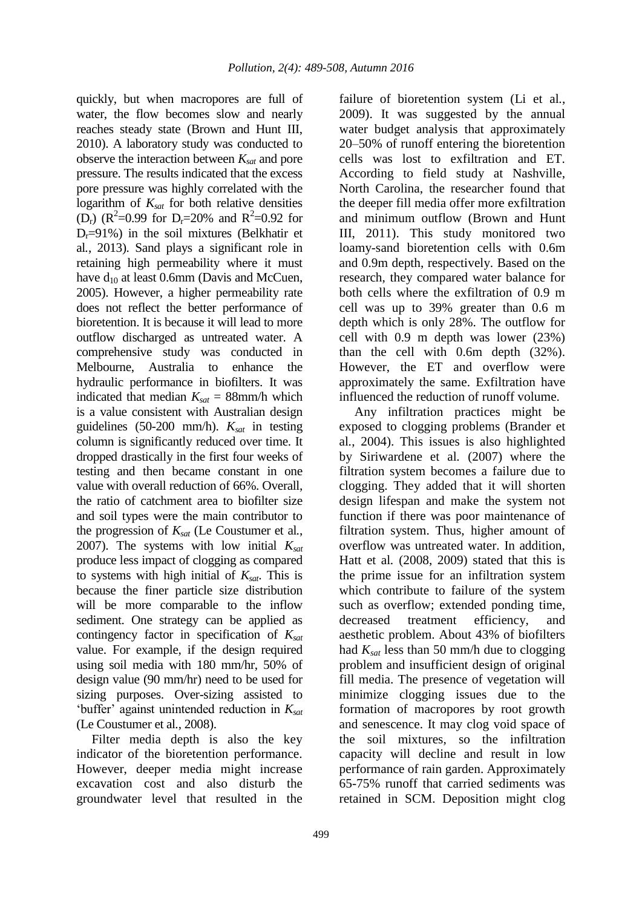quickly, but when macropores are full of water, the flow becomes slow and nearly reaches steady state (Brown and Hunt III, 2010). A laboratory study was conducted to observe the interaction between *Ksat* and pore pressure. The results indicated that the excess pore pressure was highly correlated with the logarithm of *Ksat* for both relative densities (D<sub>r</sub>) ( $R^2$ =0.99 for D<sub>r</sub>=20% and  $R^2$ =0.92 for  $D_r = 91\%$ ) in the soil mixtures (Belkhatir et al*.*, 2013). Sand plays a significant role in retaining high permeability where it must have  $d_{10}$  at least 0.6mm (Davis and McCuen, 2005). However, a higher permeability rate does not reflect the better performance of bioretention. It is because it will lead to more outflow discharged as untreated water. A comprehensive study was conducted in Melbourne, Australia to enhance the hydraulic performance in biofilters. It was indicated that median  $K_{\text{sat}} = 88$ mm/h which is a value consistent with Australian design guidelines (50-200 mm/h). *Ksat* in testing column is significantly reduced over time. It dropped drastically in the first four weeks of testing and then became constant in one value with overall reduction of 66%. Overall, the ratio of catchment area to biofilter size and soil types were the main contributor to the progression of *Ksat* (Le Coustumer et al*.*, 2007). The systems with low initial *Ksat* produce less impact of clogging as compared to systems with high initial of *Ksat*. This is because the finer particle size distribution will be more comparable to the inflow sediment. One strategy can be applied as contingency factor in specification of *Ksat* value. For example, if the design required using soil media with 180 mm/hr, 50% of design value (90 mm/hr) need to be used for sizing purposes. Over-sizing assisted to 'buffer' against unintended reduction in *Ksat* (Le Coustumer et al*.*, 2008).

Filter media depth is also the key indicator of the bioretention performance. However, deeper media might increase excavation cost and also disturb the groundwater level that resulted in the failure of bioretention system (Li et al*.*, 2009). It was suggested by the annual water budget analysis that approximately 20–50% of runoff entering the bioretention cells was lost to exfiltration and ET. According to field study at Nashville, North Carolina, the researcher found that the deeper fill media offer more exfiltration and minimum outflow (Brown and Hunt III, 2011). This study monitored two loamy-sand bioretention cells with 0.6m and 0.9m depth, respectively. Based on the research, they compared water balance for both cells where the exfiltration of 0.9 m cell was up to 39% greater than 0.6 m depth which is only 28%. The outflow for cell with 0.9 m depth was lower (23%) than the cell with 0.6m depth (32%). However, the ET and overflow were approximately the same. Exfiltration have influenced the reduction of runoff volume.

Any infiltration practices might be exposed to clogging problems (Brander et al*.*, 2004). This issues is also highlighted by Siriwardene et al*.* (2007) where the filtration system becomes a failure due to clogging. They added that it will shorten design lifespan and make the system not function if there was poor maintenance of filtration system. Thus, higher amount of overflow was untreated water. In addition, Hatt et al*.* (2008, 2009) stated that this is the prime issue for an infiltration system which contribute to failure of the system such as overflow; extended ponding time, decreased treatment efficiency, and aesthetic problem. About 43% of biofilters had *Ksat* less than 50 mm/h due to clogging problem and insufficient design of original fill media. The presence of vegetation will minimize clogging issues due to the formation of macropores by root growth and senescence. It may clog void space of the soil mixtures, so the infiltration capacity will decline and result in low performance of rain garden. Approximately 65-75% runoff that carried sediments was retained in SCM. Deposition might clog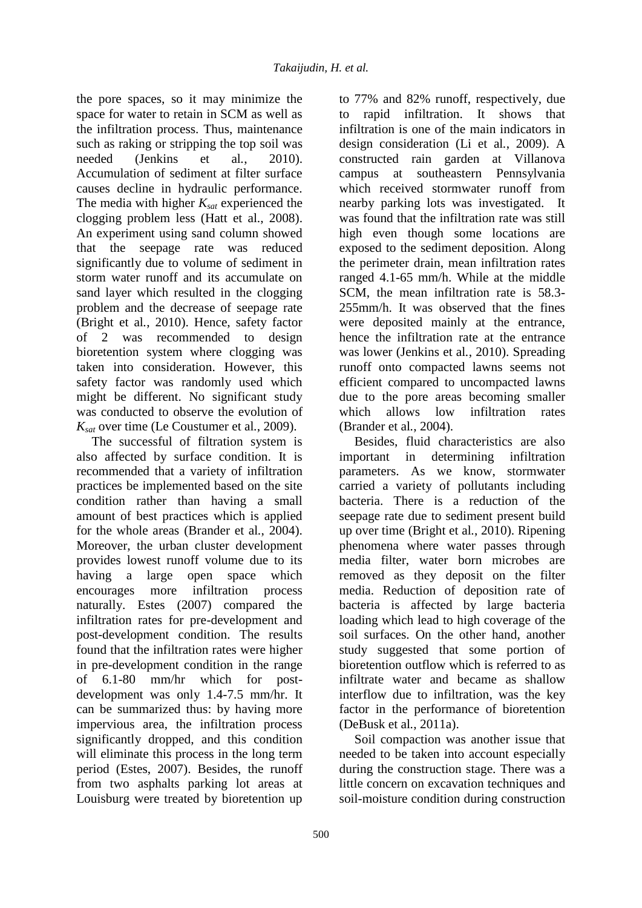the pore spaces, so it may minimize the space for water to retain in SCM as well as the infiltration process. Thus, maintenance such as raking or stripping the top soil was needed (Jenkins et al*.*, 2010). Accumulation of sediment at filter surface causes decline in hydraulic performance. The media with higher *Ksat* experienced the clogging problem less (Hatt et al., 2008). An experiment using sand column showed that the seepage rate was reduced significantly due to volume of sediment in storm water runoff and its accumulate on sand layer which resulted in the clogging problem and the decrease of seepage rate (Bright et al*.*, 2010). Hence, safety factor of 2 was recommended to design bioretention system where clogging was taken into consideration. However, this safety factor was randomly used which might be different. No significant study was conducted to observe the evolution of *Ksat* over time (Le Coustumer et al*.*, 2009).

The successful of filtration system is also affected by surface condition. It is recommended that a variety of infiltration practices be implemented based on the site condition rather than having a small amount of best practices which is applied for the whole areas (Brander et al*.*, 2004). Moreover, the urban cluster development provides lowest runoff volume due to its having a large open space which encourages more infiltration process naturally. Estes (2007) compared the infiltration rates for pre-development and post-development condition. The results found that the infiltration rates were higher in pre-development condition in the range of 6.1-80 mm/hr which for postdevelopment was only 1.4-7.5 mm/hr. It can be summarized thus: by having more impervious area, the infiltration process significantly dropped, and this condition will eliminate this process in the long term period (Estes, 2007). Besides, the runoff from two asphalts parking lot areas at Louisburg were treated by bioretention up

to 77% and 82% runoff, respectively, due to rapid infiltration. It shows that infiltration is one of the main indicators in design consideration (Li et al*.*, 2009). A constructed rain garden at Villanova campus at southeastern Pennsylvania which received stormwater runoff from nearby parking lots was investigated. It was found that the infiltration rate was still high even though some locations are exposed to the sediment deposition. Along the perimeter drain, mean infiltration rates ranged 4.1-65 mm/h. While at the middle SCM, the mean infiltration rate is 58.3- 255mm/h. It was observed that the fines were deposited mainly at the entrance, hence the infiltration rate at the entrance was lower (Jenkins et al*.*, 2010). Spreading runoff onto compacted lawns seems not efficient compared to uncompacted lawns due to the pore areas becoming smaller which allows low infiltration rates (Brander et al*.*, 2004).

Besides, fluid characteristics are also important in determining infiltration parameters. As we know, stormwater carried a variety of pollutants including bacteria. There is a reduction of the seepage rate due to sediment present build up over time (Bright et al*.*, 2010). Ripening phenomena where water passes through media filter, water born microbes are removed as they deposit on the filter media. Reduction of deposition rate of bacteria is affected by large bacteria loading which lead to high coverage of the soil surfaces. On the other hand, another study suggested that some portion of bioretention outflow which is referred to as infiltrate water and became as shallow interflow due to infiltration, was the key factor in the performance of bioretention (DeBusk et al*.*, 2011a).

Soil compaction was another issue that needed to be taken into account especially during the construction stage. There was a little concern on excavation techniques and soil-moisture condition during construction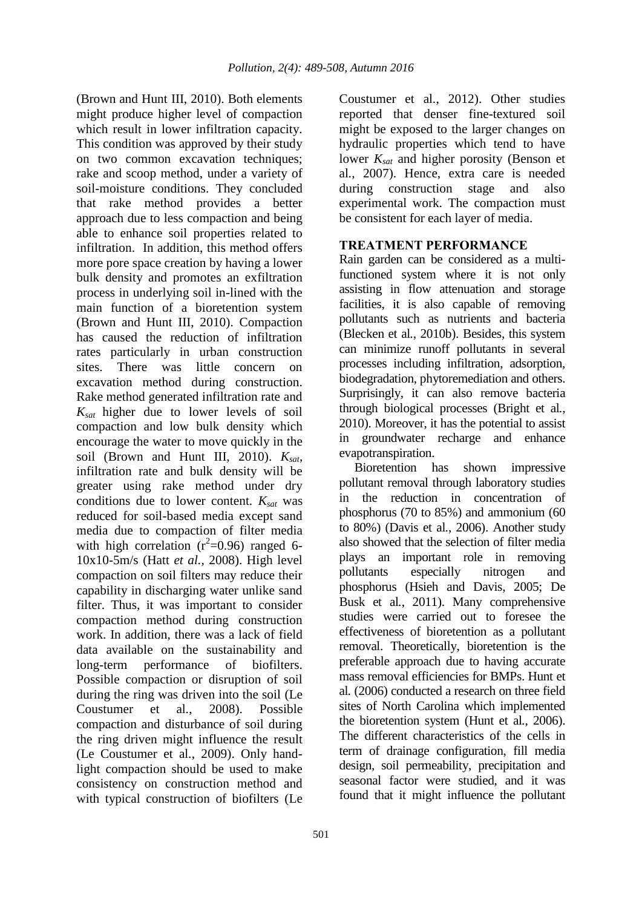(Brown and Hunt III, 2010). Both elements might produce higher level of compaction which result in lower infiltration capacity. This condition was approved by their study on two common excavation techniques; rake and scoop method, under a variety of soil-moisture conditions. They concluded that rake method provides a better approach due to less compaction and being able to enhance soil properties related to infiltration. In addition, this method offers more pore space creation by having a lower bulk density and promotes an exfiltration process in underlying soil in-lined with the main function of a bioretention system (Brown and Hunt III, 2010). Compaction has caused the reduction of infiltration rates particularly in urban construction sites. There was little concern on excavation method during construction. Rake method generated infiltration rate and *Ksat* higher due to lower levels of soil compaction and low bulk density which encourage the water to move quickly in the soil (Brown and Hunt III, 2010). *Ksat*, infiltration rate and bulk density will be greater using rake method under dry conditions due to lower content. *Ksat* was reduced for soil-based media except sand media due to compaction of filter media with high correlation  $(r^2=0.96)$  ranged 6-10x10-5m/s (Hatt *et al.*, 2008). High level compaction on soil filters may reduce their capability in discharging water unlike sand filter. Thus, it was important to consider compaction method during construction work. In addition, there was a lack of field data available on the sustainability and long-term performance of biofilters. Possible compaction or disruption of soil during the ring was driven into the soil (Le Coustumer et al*.*, 2008). Possible compaction and disturbance of soil during the ring driven might influence the result (Le Coustumer et al*.*, 2009). Only handlight compaction should be used to make consistency on construction method and with typical construction of biofilters (Le

501

Coustumer et al*.*, 2012). Other studies reported that denser fine-textured soil might be exposed to the larger changes on hydraulic properties which tend to have lower *Ksat* and higher porosity (Benson et al*.*, 2007). Hence, extra care is needed during construction stage and also experimental work. The compaction must be consistent for each layer of media.

### **TREATMENT PERFORMANCE**

Rain garden can be considered as a multifunctioned system where it is not only assisting in flow attenuation and storage facilities, it is also capable of removing pollutants such as nutrients and bacteria (Blecken et al*.*, 2010b). Besides, this system can minimize runoff pollutants in several processes including infiltration, adsorption, biodegradation, phytoremediation and others. Surprisingly, it can also remove bacteria through biological processes (Bright et al*.*, 2010). Moreover, it has the potential to assist in groundwater recharge and enhance evapotranspiration.

Bioretention has shown impressive pollutant removal through laboratory studies in the reduction in concentration of phosphorus (70 to 85%) and ammonium (60 to 80%) (Davis et al*.*, 2006). Another study also showed that the selection of filter media plays an important role in removing pollutants especially nitrogen and phosphorus (Hsieh and Davis, 2005; De Busk et al*.*, 2011). Many comprehensive studies were carried out to foresee the effectiveness of bioretention as a pollutant removal. Theoretically, bioretention is the preferable approach due to having accurate mass removal efficiencies for BMPs. Hunt et al*.* (2006) conducted a research on three field sites of North Carolina which implemented the bioretention system (Hunt et al*.*, 2006). The different characteristics of the cells in term of drainage configuration, fill media design, soil permeability, precipitation and seasonal factor were studied, and it was found that it might influence the pollutant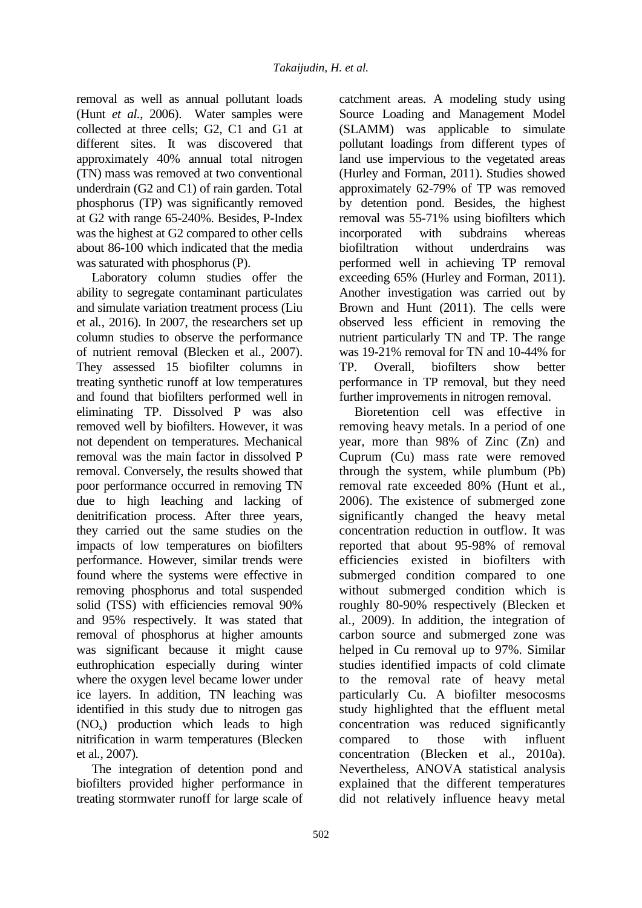removal as well as annual pollutant loads (Hunt *et al.*, 2006). Water samples were collected at three cells; G2, C1 and G1 at different sites. It was discovered that approximately 40% annual total nitrogen (TN) mass was removed at two conventional underdrain (G2 and C1) of rain garden. Total phosphorus (TP) was significantly removed at G2 with range 65-240%. Besides, P-Index was the highest at G2 compared to other cells about 86-100 which indicated that the media was saturated with phosphorus (P).

Laboratory column studies offer the ability to segregate contaminant particulates and simulate variation treatment process (Liu et al*.*, 2016). In 2007, the researchers set up column studies to observe the performance of nutrient removal (Blecken et al*.*, 2007). They assessed 15 biofilter columns in treating synthetic runoff at low temperatures and found that biofilters performed well in eliminating TP. Dissolved P was also removed well by biofilters. However, it was not dependent on temperatures. Mechanical removal was the main factor in dissolved P removal. Conversely, the results showed that poor performance occurred in removing TN due to high leaching and lacking of denitrification process. After three years, they carried out the same studies on the impacts of low temperatures on biofilters performance. However, similar trends were found where the systems were effective in removing phosphorus and total suspended solid (TSS) with efficiencies removal 90% and 95% respectively. It was stated that removal of phosphorus at higher amounts was significant because it might cause euthrophication especially during winter where the oxygen level became lower under ice layers. In addition, TN leaching was identified in this study due to nitrogen gas  $(NO<sub>x</sub>)$  production which leads to high nitrification in warm temperatures (Blecken et al*.*, 2007).

The integration of detention pond and biofilters provided higher performance in treating stormwater runoff for large scale of

catchment areas. A modeling study using Source Loading and Management Model (SLAMM) was applicable to simulate pollutant loadings from different types of land use impervious to the vegetated areas (Hurley and Forman, 2011). Studies showed approximately 62-79% of TP was removed by detention pond. Besides, the highest removal was 55-71% using biofilters which incorporated with subdrains whereas biofiltration without underdrains was performed well in achieving TP removal exceeding 65% (Hurley and Forman, 2011). Another investigation was carried out by Brown and Hunt (2011). The cells were observed less efficient in removing the nutrient particularly TN and TP. The range was 19-21% removal for TN and 10-44% for TP. Overall, biofilters show better performance in TP removal, but they need further improvements in nitrogen removal.

Bioretention cell was effective in removing heavy metals. In a period of one year, more than 98% of Zinc (Zn) and Cuprum (Cu) mass rate were removed through the system, while plumbum (Pb) removal rate exceeded 80% (Hunt et al*.*, 2006). The existence of submerged zone significantly changed the heavy metal concentration reduction in outflow. It was reported that about 95-98% of removal efficiencies existed in biofilters with submerged condition compared to one without submerged condition which is roughly 80-90% respectively (Blecken et al*.*, 2009). In addition, the integration of carbon source and submerged zone was helped in Cu removal up to 97%. Similar studies identified impacts of cold climate to the removal rate of heavy metal particularly Cu. A biofilter mesocosms study highlighted that the effluent metal concentration was reduced significantly compared to those with influent concentration (Blecken et al*.*, 2010a). Nevertheless, ANOVA statistical analysis explained that the different temperatures did not relatively influence heavy metal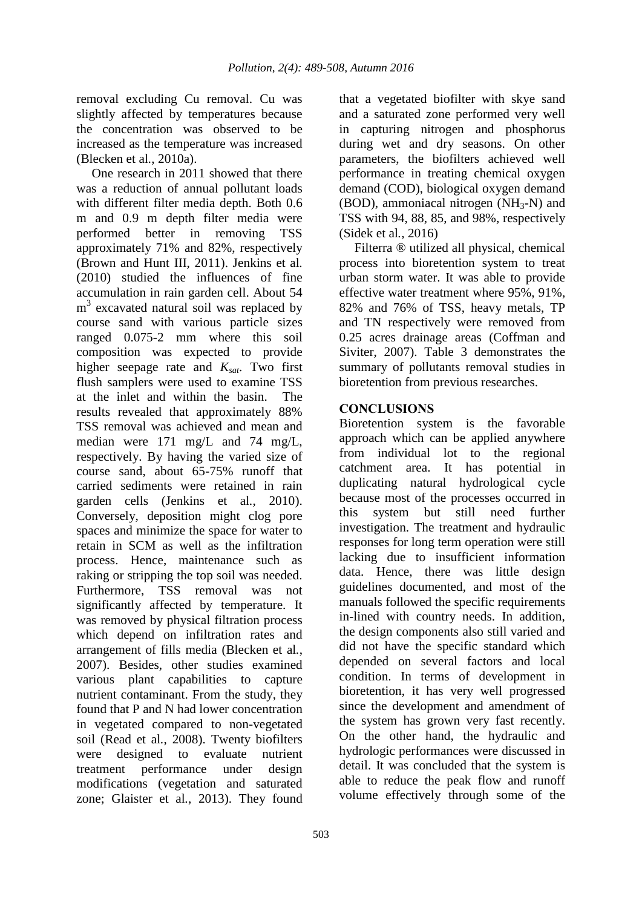removal excluding Cu removal. Cu was slightly affected by temperatures because the concentration was observed to be increased as the temperature was increased (Blecken et al*.*, 2010a).

One research in 2011 showed that there was a reduction of annual pollutant loads with different filter media depth. Both 0.6 m and 0.9 m depth filter media were performed better in removing TSS approximately 71% and 82%, respectively (Brown and Hunt III, 2011). Jenkins et al*.* (2010) studied the influences of fine accumulation in rain garden cell. About 54 m<sup>3</sup> excavated natural soil was replaced by course sand with various particle sizes ranged 0.075-2 mm where this soil composition was expected to provide higher seepage rate and *Ksat*. Two first flush samplers were used to examine TSS at the inlet and within the basin. The results revealed that approximately 88% TSS removal was achieved and mean and median were 171 mg/L and 74 mg/L, respectively. By having the varied size of course sand, about 65-75% runoff that carried sediments were retained in rain garden cells (Jenkins et al*.*, 2010). Conversely, deposition might clog pore spaces and minimize the space for water to retain in SCM as well as the infiltration process. Hence, maintenance such as raking or stripping the top soil was needed. Furthermore, TSS removal was not significantly affected by temperature. It was removed by physical filtration process which depend on infiltration rates and arrangement of fills media (Blecken et al*.*, 2007). Besides, other studies examined various plant capabilities to capture nutrient contaminant. From the study, they found that P and N had lower concentration in vegetated compared to non-vegetated soil (Read et al*.*, 2008). Twenty biofilters were designed to evaluate nutrient treatment performance under design modifications (vegetation and saturated zone; Glaister et al*.*, 2013). They found

that a vegetated biofilter with skye sand and a saturated zone performed very well in capturing nitrogen and phosphorus during wet and dry seasons. On other parameters, the biofilters achieved well performance in treating chemical oxygen demand (COD), biological oxygen demand (BOD), ammoniacal nitrogen  $(NH_3-N)$  and TSS with 94, 88, 85, and 98%, respectively (Sidek et al*.*, 2016)

Filterra ® utilized all physical, chemical process into bioretention system to treat urban storm water. It was able to provide effective water treatment where 95%, 91%, 82% and 76% of TSS, heavy metals, TP and TN respectively were removed from 0.25 acres drainage areas (Coffman and Siviter, 2007). Table 3 demonstrates the summary of pollutants removal studies in bioretention from previous researches.

## **CONCLUSIONS**

Bioretention system is the favorable approach which can be applied anywhere from individual lot to the regional catchment area. It has potential in duplicating natural hydrological cycle because most of the processes occurred in this system but still need further investigation. The treatment and hydraulic responses for long term operation were still lacking due to insufficient information data. Hence, there was little design guidelines documented, and most of the manuals followed the specific requirements in-lined with country needs. In addition, the design components also still varied and did not have the specific standard which depended on several factors and local condition. In terms of development in bioretention, it has very well progressed since the development and amendment of the system has grown very fast recently. On the other hand, the hydraulic and hydrologic performances were discussed in detail. It was concluded that the system is able to reduce the peak flow and runoff volume effectively through some of the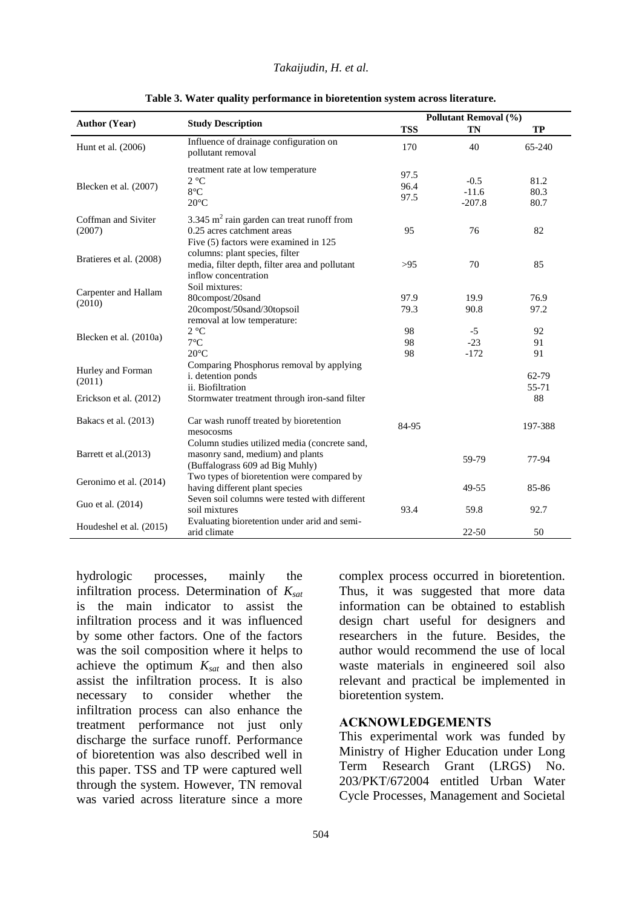| Takaijudin, H. et al. |  |  |  |
|-----------------------|--|--|--|
|-----------------------|--|--|--|

|                                | <b>Study Description</b>                                                                                             | Pollutant Removal (%) |                               |                      |
|--------------------------------|----------------------------------------------------------------------------------------------------------------------|-----------------------|-------------------------------|----------------------|
| <b>Author (Year)</b>           |                                                                                                                      | <b>TSS</b>            | <b>TN</b>                     | TP                   |
| Hunt et al. (2006)             | Influence of drainage configuration on<br>pollutant removal                                                          | 170                   | 40                            | $65 - 240$           |
| Blecken et al. (2007)          | treatment rate at low temperature<br>$2 °C$<br>$8^{\circ}$ C<br>$20^{\circ}$ C                                       | 97.5<br>96.4<br>97.5  | $-0.5$<br>$-11.6$<br>$-207.8$ | 81.2<br>80.3<br>80.7 |
| Coffman and Siviter<br>(2007)  | 3.345 $m2$ rain garden can treat runoff from<br>0.25 acres catchment areas<br>Five (5) factors were examined in 125  | 95                    | 76                            | 82                   |
| Bratieres et al. (2008)        | columns: plant species, filter<br>media, filter depth, filter area and pollutant<br>inflow concentration             | >95                   | 70                            | 85                   |
| Carpenter and Hallam<br>(2010) | Soil mixtures:<br>80compost/20sand<br>20compost/50sand/30topsoil                                                     | 97.9<br>79.3          | 19.9<br>90.8                  | 76.9<br>97.2         |
| Blecken et al. (2010a)         | removal at low temperature:<br>$2^{\circ}C$<br>$7^{\circ}$ C<br>$20^{\circ}$ C                                       | 98<br>98<br>98        | $-5$<br>$-23$<br>$-172$       | 92<br>91<br>91       |
| Hurley and Forman<br>(2011)    | Comparing Phosphorus removal by applying<br>i. detention ponds<br>ii. Biofiltration                                  |                       |                               | 62-79<br>55-71       |
| Erickson et al. (2012)         | Stormwater treatment through iron-sand filter                                                                        |                       |                               | 88                   |
| Bakacs et al. (2013)           | Car wash runoff treated by bioretention<br>mesocosms                                                                 | 84-95                 |                               | 197-388              |
| Barrett et al. (2013)          | Column studies utilized media (concrete sand,<br>masonry sand, medium) and plants<br>(Buffalograss 609 ad Big Muhly) |                       | 59-79                         | 77-94                |
| Geronimo et al. (2014)         | Two types of bioretention were compared by<br>having different plant species                                         |                       | 49-55                         | 85-86                |
| Guo et al. (2014)              | Seven soil columns were tested with different<br>soil mixtures                                                       | 93.4                  | 59.8                          | 92.7                 |
| Houdeshel et al. (2015)        | Evaluating bioretention under arid and semi-<br>arid climate                                                         |                       | $22 - 50$                     | 50                   |

**Table 3. Water quality performance in bioretention system across literature.**

hydrologic processes, mainly the infiltration process. Determination of *Ksat* is the main indicator to assist the infiltration process and it was influenced by some other factors. One of the factors was the soil composition where it helps to achieve the optimum *Ksat* and then also assist the infiltration process. It is also necessary to consider whether the infiltration process can also enhance the treatment performance not just only discharge the surface runoff. Performance of bioretention was also described well in this paper. TSS and TP were captured well through the system. However, TN removal was varied across literature since a more

complex process occurred in bioretention. Thus, it was suggested that more data information can be obtained to establish design chart useful for designers and researchers in the future. Besides, the author would recommend the use of local waste materials in engineered soil also relevant and practical be implemented in bioretention system.

### **ACKNOWLEDGEMENTS**

This experimental work was funded by Ministry of Higher Education under Long Term Research Grant (LRGS) No. 203/PKT/672004 entitled Urban Water Cycle Processes, Management and Societal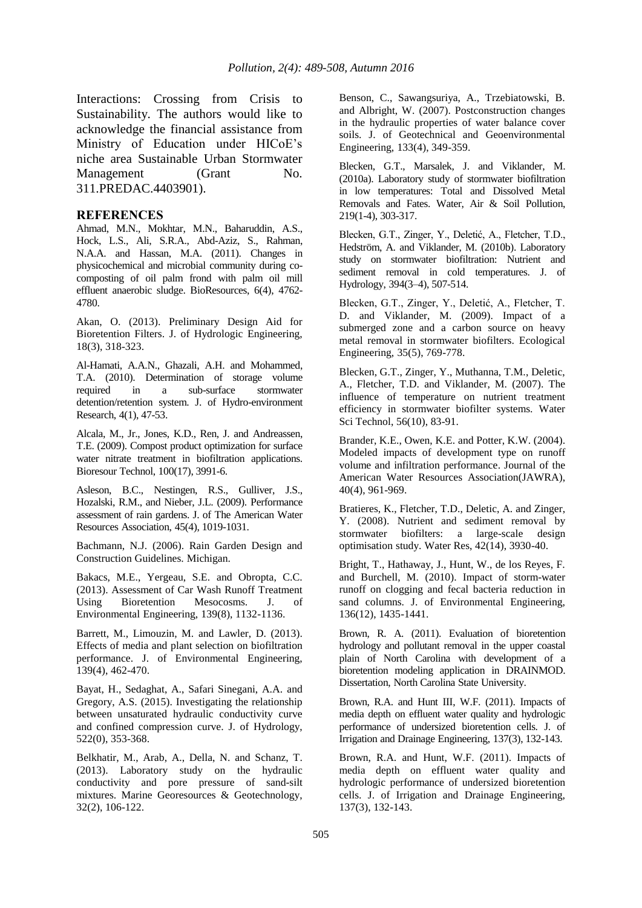Interactions: Crossing from Crisis to Sustainability. The authors would like to acknowledge the financial assistance from Ministry of Education under HICoE's niche area Sustainable Urban Stormwater Management (Grant No. 311.PREDAC.4403901).

#### **REFERENCES**

Ahmad, M.N., Mokhtar, M.N., Baharuddin, A.S., Hock, L.S., Ali, S.R.A., Abd-Aziz, S., Rahman, N.A.A. and Hassan, M.A. (2011). Changes in physicochemical and microbial community during cocomposting of oil palm frond with palm oil mill effluent anaerobic sludge. BioResources, 6(4), 4762- 4780.

Akan, O. (2013). Preliminary Design Aid for Bioretention Filters. J. of Hydrologic Engineering, 18(3), 318-323.

Al-Hamati, A.A.N., Ghazali, A.H. and Mohammed, T.A. (2010). Determination of storage volume required in a sub-surface stormwater detention/retention system. J. of Hydro-environment Research, 4(1), 47-53.

Alcala, M., Jr., Jones, K.D., Ren, J. and Andreassen, T.E. (2009). Compost product optimization for surface water nitrate treatment in biofiltration applications. Bioresour Technol, 100(17), 3991-6.

Asleson, B.C., Nestingen, R.S., Gulliver, J.S., Hozalski, R.M., and Nieber, J.L. (2009). Performance assessment of rain gardens. J. of The American Water Resources Association, 45(4), 1019-1031.

Bachmann, N.J. (2006). Rain Garden Design and Construction Guidelines. Michigan.

Bakacs, M.E., Yergeau, S.E. and Obropta, C.C. (2013). Assessment of Car Wash Runoff Treatment Using Bioretention Mesocosms. J. of Environmental Engineering, 139(8), 1132-1136.

Barrett, M., Limouzin, M. and Lawler, D. (2013). Effects of media and plant selection on biofiltration performance. J. of Environmental Engineering, 139(4), 462-470.

Bayat, H., Sedaghat, A., Safari Sinegani, A.A. and Gregory, A.S. (2015). Investigating the relationship between unsaturated hydraulic conductivity curve and confined compression curve. J. of Hydrology, 522(0), 353-368.

Belkhatir, M., Arab, A., Della, N. and Schanz, T. (2013). Laboratory study on the hydraulic conductivity and pore pressure of sand-silt mixtures. Marine Georesources & Geotechnology, 32(2), 106-122.

Benson, C., Sawangsuriya, A., Trzebiatowski, B. and Albright, W. (2007). Postconstruction changes in the hydraulic properties of water balance cover soils. J. of Geotechnical and Geoenvironmental Engineering, 133(4), 349-359.

Blecken, G.T., Marsalek, J. and Viklander, M. (2010a). Laboratory study of stormwater biofiltration in low temperatures: Total and Dissolved Metal Removals and Fates. Water, Air & Soil Pollution, 219(1-4), 303-317.

Blecken, G.T., Zinger, Y., Deletić, A., Fletcher, T.D., Hedström, A. and Viklander, M. (2010b). Laboratory study on stormwater biofiltration: Nutrient and sediment removal in cold temperatures. J. of Hydrology, 394(3–4), 507-514.

Blecken, G.T., Zinger, Y., Deletić, A., Fletcher, T. D. and Viklander, M. (2009). Impact of a submerged zone and a carbon source on heavy metal removal in stormwater biofilters. Ecological Engineering, 35(5), 769-778.

Blecken, G.T., Zinger, Y., Muthanna, T.M., Deletic, A., Fletcher, T.D. and Viklander, M. (2007). The influence of temperature on nutrient treatment efficiency in stormwater biofilter systems. Water Sci Technol, 56(10), 83-91.

Brander, K.E., Owen, K.E. and Potter, K.W. (2004). Modeled impacts of development type on runoff volume and infiltration performance. Journal of the American Water Resources Association(JAWRA), 40(4), 961-969.

Bratieres, K., Fletcher, T.D., Deletic, A. and Zinger, Y. (2008). Nutrient and sediment removal by stormwater biofilters: a large-scale design optimisation study. Water Res, 42(14), 3930-40.

Bright, T., Hathaway, J., Hunt, W., de los Reyes, F. and Burchell, M. (2010). Impact of storm-water runoff on clogging and fecal bacteria reduction in sand columns. J. of Environmental Engineering, 136(12), 1435-1441.

Brown, R. A. (2011). Evaluation of bioretention hydrology and pollutant removal in the upper coastal plain of North Carolina with development of a bioretention modeling application in DRAINMOD. Dissertation, North Carolina State University.

Brown, R.A. and Hunt III, W.F. (2011). Impacts of media depth on effluent water quality and hydrologic performance of undersized bioretention cells. J. of Irrigation and Drainage Engineering, 137(3), 132-143.

Brown, R.A. and Hunt, W.F. (2011). Impacts of media depth on effluent water quality and hydrologic performance of undersized bioretention cells. J. of Irrigation and Drainage Engineering, 137(3), 132-143.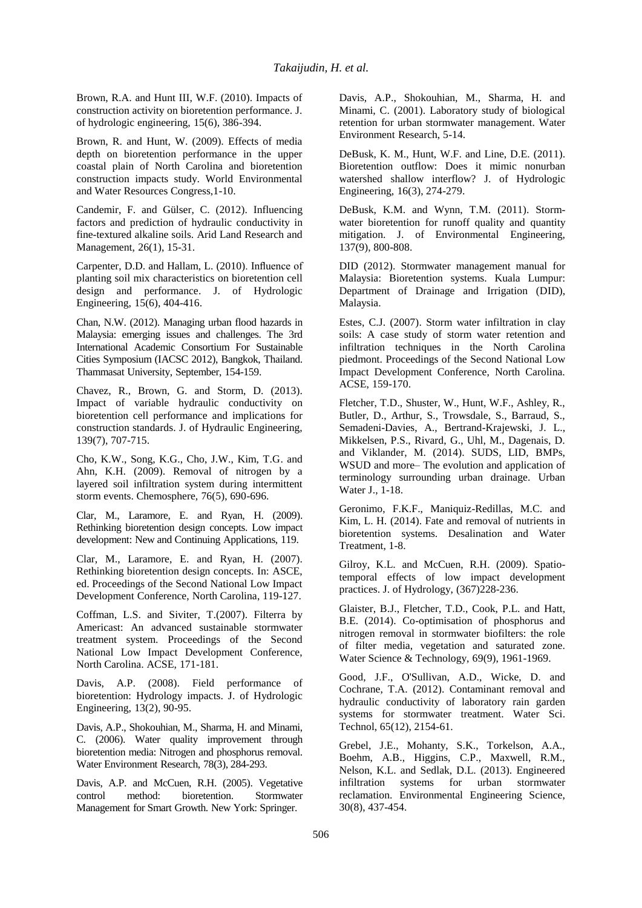Brown, R.A. and Hunt III, W.F. (2010). Impacts of construction activity on bioretention performance. J. of hydrologic engineering, 15(6), 386-394.

Brown, R. and Hunt, W. (2009). Effects of media depth on bioretention performance in the upper coastal plain of North Carolina and bioretention construction impacts study. World Environmental and Water Resources Congress,1-10.

Candemir, F. and Gülser, C. (2012). Influencing factors and prediction of hydraulic conductivity in fine-textured alkaline soils. Arid Land Research and Management, 26(1), 15-31.

Carpenter, D.D. and Hallam, L. (2010). Influence of planting soil mix characteristics on bioretention cell design and performance. J. of Hydrologic Engineering, 15(6), 404-416.

Chan, N.W. (2012). Managing urban flood hazards in Malaysia: emerging issues and challenges. The 3rd International Academic Consortium For Sustainable Cities Symposium (IACSC 2012), Bangkok, Thailand. Thammasat University, September, 154-159.

Chavez, R., Brown, G. and Storm, D. (2013). Impact of variable hydraulic conductivity on bioretention cell performance and implications for construction standards. J. of Hydraulic Engineering, 139(7), 707-715.

Cho, K.W., Song, K.G., Cho, J.W., Kim, T.G. and Ahn, K.H. (2009). Removal of nitrogen by a layered soil infiltration system during intermittent storm events. Chemosphere, 76(5), 690-696.

Clar, M., Laramore, E. and Ryan, H. (2009). Rethinking bioretention design concepts. Low impact development: New and Continuing Applications, 119.

Clar, M., Laramore, E. and Ryan, H. (2007). Rethinking bioretention design concepts. In: ASCE, ed. Proceedings of the Second National Low Impact Development Conference, North Carolina, 119-127.

Coffman, L.S. and Siviter, T.(2007). Filterra by Americast: An advanced sustainable stormwater treatment system. Proceedings of the Second National Low Impact Development Conference, North Carolina. ACSE, 171-181.

Davis, A.P. (2008). Field performance of bioretention: Hydrology impacts. J. of Hydrologic Engineering, 13(2), 90-95.

Davis, A.P., Shokouhian, M., Sharma, H. and Minami, C. (2006). Water quality improvement through bioretention media: Nitrogen and phosphorus removal. Water Environment Research, 78(3), 284-293.

Davis, A.P. and McCuen, R.H. (2005). Vegetative control method: bioretention. Stormwater Management for Smart Growth. New York: Springer.

Davis, A.P., Shokouhian, M., Sharma, H. and Minami, C. (2001). Laboratory study of biological retention for urban stormwater management. Water Environment Research, 5-14.

DeBusk, K. M., Hunt, W.F. and Line, D.E. (2011). Bioretention outflow: Does it mimic nonurban watershed shallow interflow? J. of Hydrologic Engineering, 16(3), 274-279.

DeBusk, K.M. and Wynn, T.M. (2011). Stormwater bioretention for runoff quality and quantity mitigation. J. of Environmental Engineering, 137(9), 800-808.

DID (2012). Stormwater management manual for Malaysia: Bioretention systems. Kuala Lumpur: Department of Drainage and Irrigation (DID), Malaysia.

Estes, C.J. (2007). Storm water infiltration in clay soils: A case study of storm water retention and infiltration techniques in the North Carolina piedmont. Proceedings of the Second National Low Impact Development Conference, North Carolina. ACSE, 159-170.

Fletcher, T.D., Shuster, W., Hunt, W.F., Ashley, R., Butler, D., Arthur, S., Trowsdale, S., Barraud, S., Semadeni-Davies, A., Bertrand-Krajewski, J. L., Mikkelsen, P.S., Rivard, G., Uhl, M., Dagenais, D. and Viklander, M. (2014). SUDS, LID, BMPs, WSUD and more– The evolution and application of terminology surrounding urban drainage. Urban Water J., 1-18.

Geronimo, F.K.F., Maniquiz-Redillas, M.C. and Kim, L. H. (2014). Fate and removal of nutrients in bioretention systems. Desalination and Water Treatment, 1-8.

Gilroy, K.L. and McCuen, R.H. (2009). Spatiotemporal effects of low impact development practices. J. of Hydrology, (367)228-236.

Glaister, B.J., Fletcher, T.D., Cook, P.L. and Hatt, B.E. (2014). Co-optimisation of phosphorus and nitrogen removal in stormwater biofilters: the role of filter media, vegetation and saturated zone. Water Science & Technology, 69(9), 1961-1969.

Good, J.F., O'Sullivan, A.D., Wicke, D. and Cochrane, T.A. (2012). Contaminant removal and hydraulic conductivity of laboratory rain garden systems for stormwater treatment. Water Sci. Technol, 65(12), 2154-61.

Grebel, J.E., Mohanty, S.K., Torkelson, A.A., Boehm, A.B., Higgins, C.P., Maxwell, R.M., Nelson, K.L. and Sedlak, D.L. (2013). Engineered infiltration systems for urban stormwater reclamation. Environmental Engineering Science, 30(8), 437-454.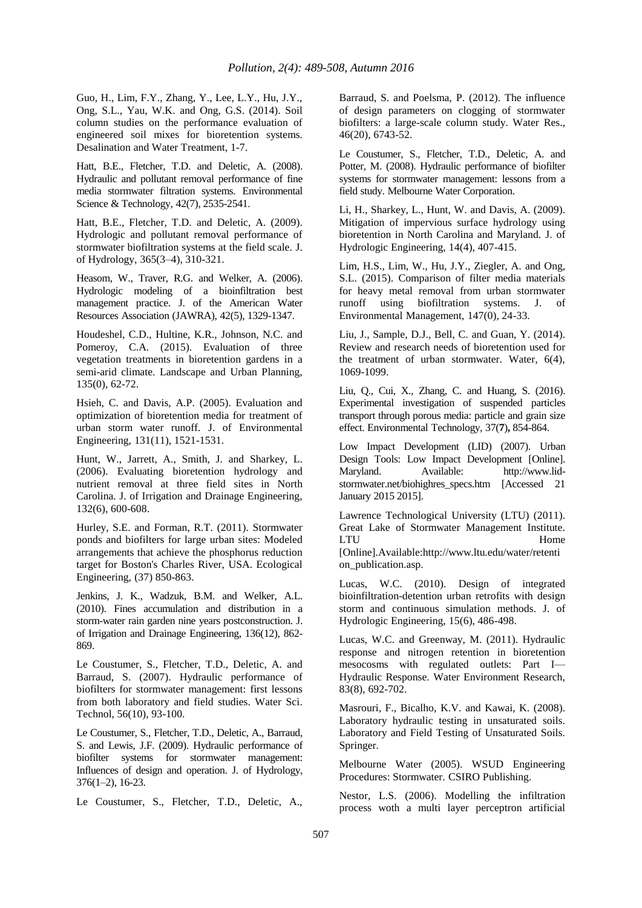Guo, H., Lim, F.Y., Zhang, Y., Lee, L.Y., Hu, J.Y., Ong, S.L., Yau, W.K. and Ong, G.S. (2014). Soil column studies on the performance evaluation of engineered soil mixes for bioretention systems. Desalination and Water Treatment, 1-7.

Hatt, B.E., Fletcher, T.D. and Deletic, A. (2008). Hydraulic and pollutant removal performance of fine media stormwater filtration systems. Environmental Science & Technology, 42(7), 2535-2541.

Hatt, B.E., Fletcher, T.D. and Deletic, A. (2009). Hydrologic and pollutant removal performance of stormwater biofiltration systems at the field scale. J. of Hydrology, 365(3–4), 310-321.

Heasom, W., Traver, R.G. and Welker, A. (2006). Hydrologic modeling of a bioinfiltration best management practice. J. of the American Water Resources Association (JAWRA), 42(5), 1329-1347.

Houdeshel, C.D., Hultine, K.R., Johnson, N.C. and Pomeroy, C.A. (2015). Evaluation of three vegetation treatments in bioretention gardens in a semi-arid climate. Landscape and Urban Planning, 135(0), 62-72.

Hsieh, C. and Davis, A.P. (2005). Evaluation and optimization of bioretention media for treatment of urban storm water runoff. J. of Environmental Engineering, 131(11), 1521-1531.

Hunt, W., Jarrett, A., Smith, J. and Sharkey, L. (2006). Evaluating bioretention hydrology and nutrient removal at three field sites in North Carolina. J. of Irrigation and Drainage Engineering, 132(6), 600-608.

Hurley, S.E. and Forman, R.T. (2011). Stormwater ponds and biofilters for large urban sites: Modeled arrangements that achieve the phosphorus reduction target for Boston's Charles River, USA. Ecological Engineering, (37) 850-863.

Jenkins, J. K., Wadzuk, B.M. and Welker, A.L. (2010). Fines accumulation and distribution in a storm-water rain garden nine years postconstruction. J. of Irrigation and Drainage Engineering, 136(12), 862- 869.

Le Coustumer, S., Fletcher, T.D., Deletic, A. and Barraud, S. (2007). Hydraulic performance of biofilters for stormwater management: first lessons from both laboratory and field studies. Water Sci. Technol, 56(10), 93-100.

Le Coustumer, S., Fletcher, T.D., Deletic, A., Barraud, S. and Lewis, J.F. (2009). Hydraulic performance of biofilter systems for stormwater management: Influences of design and operation. J. of Hydrology, 376(1–2), 16-23.

Le Coustumer, S., Fletcher, T.D., Deletic, A.,

Barraud, S. and Poelsma, P. (2012). The influence of design parameters on clogging of stormwater biofilters: a large-scale column study. Water Res., 46(20), 6743-52.

Le Coustumer, S., Fletcher, T.D., Deletic, A. and Potter, M. (2008). Hydraulic performance of biofilter systems for stormwater management: lessons from a field study. Melbourne Water Corporation.

Li, H., Sharkey, L., Hunt, W. and Davis, A. (2009). Mitigation of impervious surface hydrology using bioretention in North Carolina and Maryland. J. of Hydrologic Engineering, 14(4), 407-415.

Lim, H.S., Lim, W., Hu, J.Y., Ziegler, A. and Ong, S.L. (2015). Comparison of filter media materials for heavy metal removal from urban stormwater runoff using biofiltration systems. J. of Environmental Management, 147(0), 24-33.

Liu, J., Sample, D.J., Bell, C. and Guan, Y. (2014). Review and research needs of bioretention used for the treatment of urban stormwater. Water, 6(4), 1069-1099.

Liu, Q., Cui, X., Zhang, C. and Huang, S. (2016). Experimental investigation of suspended particles transport through porous media: particle and grain size effect. Environmental Technology*,* 37(**7**)**,** 854-864.

Low Impact Development (LID) (2007). Urban Design Tools: Low Impact Development [Online]. Maryland. Available: http://www.lidstormwater.net/biohighres\_specs.htm [Accessed 21 January 2015 2015].

Lawrence Technological University (LTU) (2011). Great Lake of Stormwater Management Institute.<br>LTU Home LTU Home [Online].Available:http://www.ltu.edu/water/retenti

on\_publication.asp. Lucas, W.C. (2010). Design of integrated

bioinfiltration-detention urban retrofits with design storm and continuous simulation methods. J. of Hydrologic Engineering, 15(6), 486-498.

Lucas, W.C. and Greenway, M. (2011). Hydraulic response and nitrogen retention in bioretention mesocosms with regulated outlets: Part I— Hydraulic Response. Water Environment Research, 83(8), 692-702.

Masrouri, F., Bicalho, K.V. and Kawai, K. (2008). Laboratory hydraulic testing in unsaturated soils. Laboratory and Field Testing of Unsaturated Soils. Springer.

Melbourne Water (2005). WSUD Engineering Procedures: Stormwater. CSIRO Publishing.

Nestor, L.S. (2006). Modelling the infiltration process woth a multi layer perceptron artificial